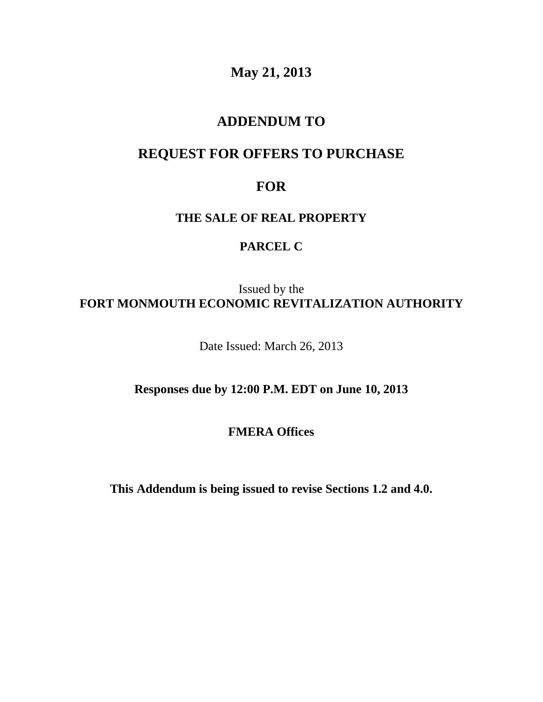**May 21, 2013**

## **ADDENDUM TO**

# **REQUEST FOR OFFERS TO PURCHASE**

## **FOR**

### **THE SALE OF REAL PROPERTY**

### **PARCEL C**

Issued by the **FORT MONMOUTH ECONOMIC REVITALIZATION AUTHORITY**

Date Issued: March 26, 2013

**Responses due by 12:00 P.M. EDT on June 10, 2013**

**FMERA Offices**

**This Addendum is being issued to revise Sections 1.2 and 4.0.**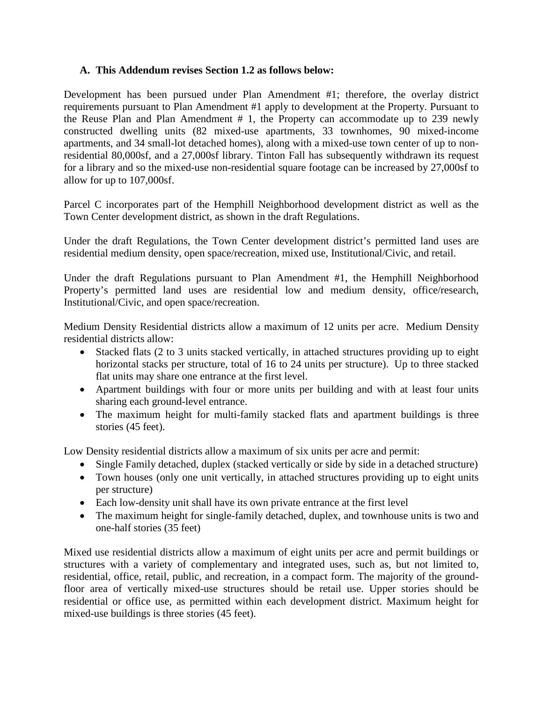### **A. This Addendum revises Section 1.2 as follows below:**

Development has been pursued under Plan Amendment #1; therefore, the overlay district requirements pursuant to Plan Amendment #1 apply to development at the Property. Pursuant to the Reuse Plan and Plan Amendment # 1, the Property can accommodate up to 239 newly constructed dwelling units (82 mixed-use apartments, 33 townhomes, 90 mixed-income apartments, and 34 small-lot detached homes), along with a mixed-use town center of up to nonresidential 80,000sf, and a 27,000sf library. Tinton Fall has subsequently withdrawn its request for a library and so the mixed-use non-residential square footage can be increased by 27,000sf to allow for up to 107,000sf.

Parcel C incorporates part of the Hemphill Neighborhood development district as well as the Town Center development district, as shown in the draft Regulations.

Under the draft Regulations, the Town Center development district's permitted land uses are residential medium density, open space/recreation, mixed use, Institutional/Civic, and retail.

Under the draft Regulations pursuant to Plan Amendment #1, the Hemphill Neighborhood Property's permitted land uses are residential low and medium density, office/research, Institutional/Civic, and open space/recreation.

Medium Density Residential districts allow a maximum of 12 units per acre. Medium Density residential districts allow:

- Stacked flats (2 to 3 units stacked vertically, in attached structures providing up to eight horizontal stacks per structure, total of 16 to 24 units per structure). Up to three stacked flat units may share one entrance at the first level.
- Apartment buildings with four or more units per building and with at least four units sharing each ground-level entrance.
- The maximum height for multi-family stacked flats and apartment buildings is three stories (45 feet).

Low Density residential districts allow a maximum of six units per acre and permit:

- Single Family detached, duplex (stacked vertically or side by side in a detached structure)
- Town houses (only one unit vertically, in attached structures providing up to eight units per structure)
- Each low-density unit shall have its own private entrance at the first level
- The maximum height for single-family detached, duplex, and townhouse units is two and one-half stories (35 feet)

Mixed use residential districts allow a maximum of eight units per acre and permit buildings or structures with a variety of complementary and integrated uses, such as, but not limited to, residential, office, retail, public, and recreation, in a compact form. The majority of the groundfloor area of vertically mixed-use structures should be retail use. Upper stories should be residential or office use, as permitted within each development district. Maximum height for mixed-use buildings is three stories (45 feet).